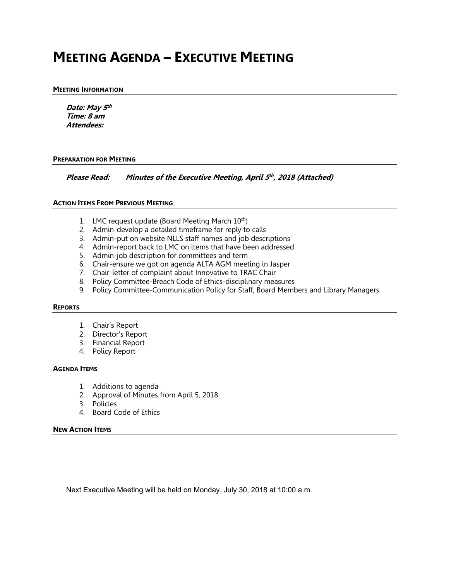# **MEETING AGENDA – EXECUTIVE MEETING**

#### **MEETING INFORMATION**

**Date: May <sup>5</sup>th Time: 8 am Attendees:**

#### **PREPARATION FOR MEETING**

**Please Read: Minutes of the Executive Meeting, April 5th , <sup>2018</sup> (Attached)**

#### **ACTION ITEMS FROM PREVIOUS MEETING**

- 1. LMC request update (Board Meeting March 10<sup>th</sup>)
- 2. Admin-develop a detailed timeframe for reply to calls
- 3. Admin-put on website NLLS staff names and job descriptions
- 4. Admin-report back to LMC on items that have been addressed
- 5. Admin-job description for committees and term
- 6. Chair-ensure we got on agenda ALTA AGM meeting in Jasper
- 7. Chair-letter of complaint about Innovative to TRAC Chair
- 8. Policy Committee-Breach Code of Ethics-disciplinary measures
- 9. Policy Committee-Communication Policy for Staff, Board Members and Library Managers

#### **REPORTS**

- 1. Chair's Report
- 2. Director's Report
- 3. Financial Report
- 4. Policy Report

#### **AGENDA ITEMS**

- 1. Additions to agenda
- 2. Approval of Minutes from April 5, 2018
- 3. Policies
- 4. Board Code of Ethics

#### **NEW ACTION ITEMS**

Next Executive Meeting will be held on Monday, July 30, 2018 at 10:00 a.m.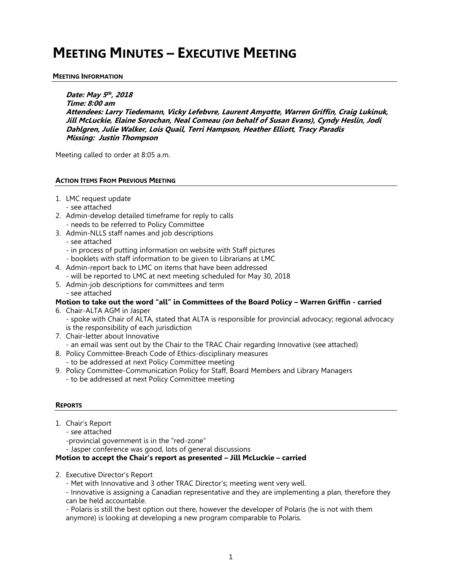# **MEETING MINUTES – EXECUTIVE MEETING**

#### **MEETING INFORMATION**

**Date: May 5 th , 2018 Time: 8:00 am Attendees: Larry Tiedemann, Vicky Lefebvre, Laurent Amyotte, Warren Griffin, Craig Lukinuk, Jill McLuckie, Elaine Sorochan, Neal Comeau (on behalf of Susan Evans), Cyndy Heslin, Jodi Dahlgren, Julie Walker, Lois Quail, Terri Hampson, Heather Elliott, Tracy Paradis Missing: Justin Thompson**

Meeting called to order at 8:05 a.m.

#### **ACTION ITEMS FROM PREVIOUS MEETING**

- 1. LMC request update
	- see attached
- 2. Admin-develop detailed timeframe for reply to calls
- needs to be referred to Policy Committee
- 3. Admin-NLLS staff names and job descriptions
	- see attached
	- in process of putting information on website with Staff pictures
	- booklets with staff information to be given to Librarians at LMC
- 4. Admin-report back to LMC on items that have been addressed - will be reported to LMC at next meeting scheduled for May 30, 2018
- 5. Admin-job descriptions for committees and term
	- see attached

#### **Motion to take out the word "all" in Committees of the Board Policy – Warren Griffin - carried**

- 6. Chair-ALTA AGM in Jasper
	- spoke with Chair of ALTA, stated that ALTA is responsible for provincial advocacy; regional advocacy is the responsibility of each jurisdiction
- 7. Chair-letter about Innovative
	- an email was sent out by the Chair to the TRAC Chair regarding Innovative (see attached)
- 8. Policy Committee-Breach Code of Ethics-disciplinary measures - to be addressed at next Policy Committee meeting
- 9. Policy Committee-Communication Policy for Staff, Board Members and Library Managers
	- to be addressed at next Policy Committee meeting

#### **REPORTS**

- 1. Chair's Report
	- see attached
	- -provincial government is in the "red-zone"
	- Jasper conference was good, lots of general discussions

#### **Motion to accept the Chair's report as presented – Jill McLuckie – carried**

- 2. Executive Director's Report
	- Met with Innovative and 3 other TRAC Director's; meeting went very well.

- Innovative is assigning a Canadian representative and they are implementing a plan, therefore they can be held accountable.

- Polaris is still the best option out there, however the developer of Polaris (he is not with them anymore) is looking at developing a new program comparable to Polaris.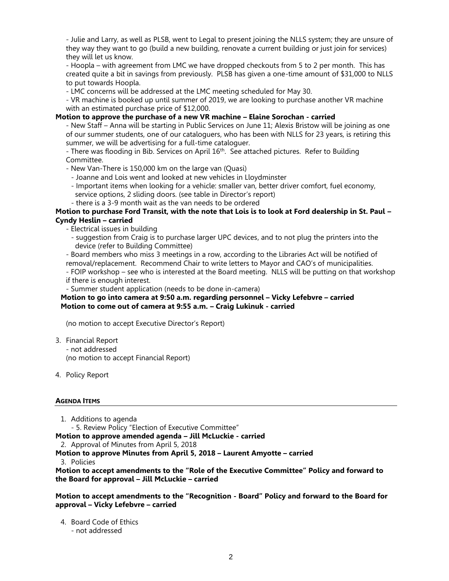- Julie and Larry, as well as PLSB, went to Legal to present joining the NLLS system; they are unsure of they way they want to go (build a new building, renovate a current building or just join for services) they will let us know.

- Hoopla – with agreement from LMC we have dropped checkouts from 5 to 2 per month. This has created quite a bit in savings from previously. PLSB has given a one-time amount of \$31,000 to NLLS to put towards Hoopla.

- LMC concerns will be addressed at the LMC meeting scheduled for May 30.

- VR machine is booked up until summer of 2019, we are looking to purchase another VR machine with an estimated purchase price of \$12,000.

#### **Motion to approve the purchase of a new VR machine – Elaine Sorochan - carried**

- New Staff – Anna will be starting in Public Services on June 11; Alexis Bristow will be joining as one of our summer students, one of our cataloguers, who has been with NLLS for 23 years, is retiring this summer, we will be advertising for a full-time cataloguer.

- There was flooding in Bib. Services on April 16<sup>th</sup>. See attached pictures. Refer to Building Committee.

- New Van-There is 150,000 km on the large van (Quasi)

- Joanne and Lois went and looked at new vehicles in Lloydminster

- Important items when looking for a vehicle: smaller van, better driver comfort, fuel economy, service options, 2 sliding doors. (see table in Director's report)

- there is a 3-9 month wait as the van needs to be ordered

#### **Motion to purchase Ford Transit, with the note that Lois is to look at Ford dealership in St. Paul – Cyndy Heslin – carried**

- Electrical issues in building

- suggestion from Craig is to purchase larger UPC devices, and to not plug the printers into the device (refer to Building Committee)

- Board members who miss 3 meetings in a row, according to the Libraries Act will be notified of removal/replacement. Recommend Chair to write letters to Mayor and CAO's of municipalities.

- FOIP workshop – see who is interested at the Board meeting. NLLS will be putting on that workshop

if there is enough interest.

- Summer student application (needs to be done in-camera)

#### **Motion to go into camera at 9:50 a.m. regarding personnel – Vicky Lefebvre – carried Motion to come out of camera at 9:55 a.m. – Craig Lukinuk - carried**

(no motion to accept Executive Director's Report)

- 3. Financial Report - not addressed (no motion to accept Financial Report)
- 4. Policy Report

#### **AGENDA ITEMS**

1. Additions to agenda

- 5. Review Policy "Election of Executive Committee"

**Motion to approve amended agenda – Jill McLuckie - carried**

2. Approval of Minutes from April 5, 2018

**Motion to approve Minutes from April 5, 2018 – Laurent Amyotte – carried**

3. Policies

**Motion to accept amendments to the "Role of the Executive Committee" Policy and forward to the Board for approval – Jill McLuckie – carried**

**Motion to accept amendments to the "Recognition - Board" Policy and forward to the Board for approval – Vicky Lefebvre – carried**

4. Board Code of Ethics

- not addressed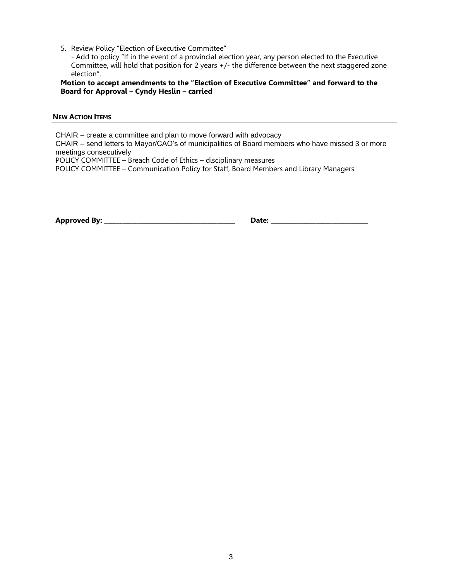5. Review Policy "Election of Executive Committee"

- Add to policy "If in the event of a provincial election year, any person elected to the Executive Committee, will hold that position for 2 years +/- the difference between the next staggered zone election".

**Motion to accept amendments to the "Election of Executive Committee" and forward to the Board for Approval – Cyndy Heslin – carried** 

#### **NEW ACTION ITEMS**

CHAIR – create a committee and plan to move forward with advocacy

CHAIR – send letters to Mayor/CAO's of municipalities of Board members who have missed 3 or more meetings consecutively

POLICY COMMITTEE – Breach Code of Ethics – disciplinary measures

POLICY COMMITTEE – Communication Policy for Staff, Board Members and Library Managers

**Approved By: \_\_\_\_\_\_\_\_\_\_\_\_\_\_\_\_\_\_\_\_\_\_\_\_\_\_\_\_\_\_\_\_\_\_\_\_\_\_\_\_\_\_\_ Date: \_\_\_\_\_\_\_\_\_\_\_\_\_\_\_\_\_\_\_\_\_\_\_\_\_\_\_\_\_\_\_\_**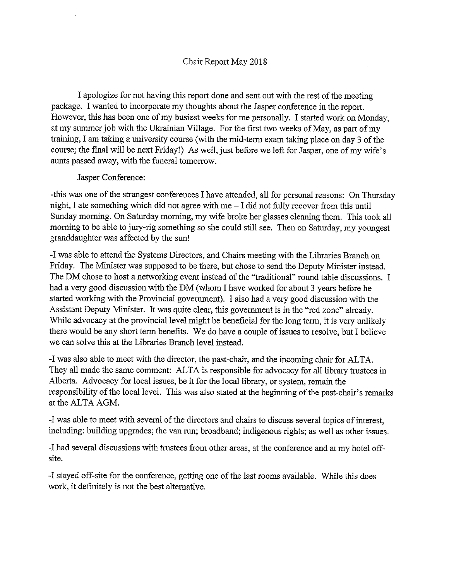I apologize for not having this report done and sent out with the rest of the meeting package. I wanted to incorporate my thoughts about the Jasper conference in the report. However, this has been one of my busiest weeks for me personally. I started work on Monday, at my summer job with the Ukrainian Village. For the first two weeks of May, as part of my training, I am taking a university course (with the mid-term exam taking place on day 3 of the course; the final will be next Friday!) As well, just before we left for Jasper, one of my wife's aunts passed away, with the funeral tomorrow.

#### Jasper Conference:

-this was one of the strangest conferences I have attended, all for personal reasons: On Thursday night, I ate something which did not agree with me - I did not fully recover from this until Sunday morning. On Saturday morning, my wife broke her glasses cleaning them. This took all morning to be able to jury-rig something so she could still see. Then on Saturday, my youngest granddaughter was affected by the sun!

-I was able to attend the Systems Directors, and Chairs meeting with the Libraries Branch on Friday. The Minister was supposed to be there, but chose to send the Deputy Minister instead. The DM chose to host a networking event instead of the "traditional" round table discussions. I had a very good discussion with the DM (whom I have worked for about 3 years before he started working with the Provincial government). I also had a very good discussion with the Assistant Deputy Minister. It was quite clear, this government is in the "red zone" already. While advocacy at the provincial level might be beneficial for the long term, it is very unlikely there would be any short term benefits. We do have a couple of issues to resolve, but I believe we can solve this at the Libraries Branch level instead.

-I was also able to meet with the director, the past-chair, and the incoming chair for ALTA. They all made the same comment: ALTA is responsible for advocacy for all library trustees in Alberta. Advocacy for local issues, be it for the local library, or system, remain the responsibility of the local level. This was also stated at the beginning of the past-chair's remarks at the ALTA AGM.

-I was able to meet with several of the directors and chairs to discuss several topics of interest, including: building upgrades; the van run; broadband; indigenous rights; as well as other issues.

-I had several discussions with trustees from other areas, at the conference and at my hotel offsite.

-I stayed off-site for the conference, getting one of the last rooms available. While this does work, it definitely is not the best alternative.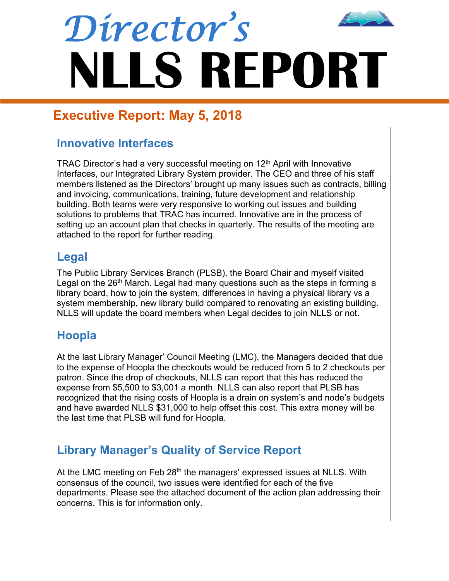

# **Executive Report: May 5, 2018**

# **Innovative Interfaces**

TRAC Director's had a very successful meeting on  $12<sup>th</sup>$  April with Innovative Interfaces, our Integrated Library System provider. The CEO and three of his staff members listened as the Directors' brought up many issues such as contracts, billing and invoicing, communications, training, future development and relationship building. Both teams were very responsive to working out issues and building solutions to problems that TRAC has incurred. Innovative are in the process of setting up an account plan that checks in quarterly. The results of the meeting are attached to the report for further reading.

# **Legal**

The Public Library Services Branch (PLSB), the Board Chair and myself visited Legal on the  $26<sup>th</sup>$  March. Legal had many questions such as the steps in forming a library board, how to join the system, differences in having a physical library vs a system membership, new library build compared to renovating an existing building. NLLS will update the board members when Legal decides to join NLLS or not.

# **Hoopla**

At the last Library Manager' Council Meeting (LMC), the Managers decided that due to the expense of Hoopla the checkouts would be reduced from 5 to 2 checkouts per patron. Since the drop of checkouts, NLLS can report that this has reduced the expense from \$5,500 to \$3,001 a month. NLLS can also report that PLSB has recognized that the rising costs of Hoopla is a drain on system's and node's budgets and have awarded NLLS \$31,000 to help offset this cost. This extra money will be the last time that PLSB will fund for Hoopla.

# **Library Manager's Quality of Service Report**

At the LMC meeting on Feb 28<sup>th</sup> the managers' expressed issues at NLLS. With consensus of the council, two issues were identified for each of the five departments. Please see the attached document of the action plan addressing their concerns. This is for information only.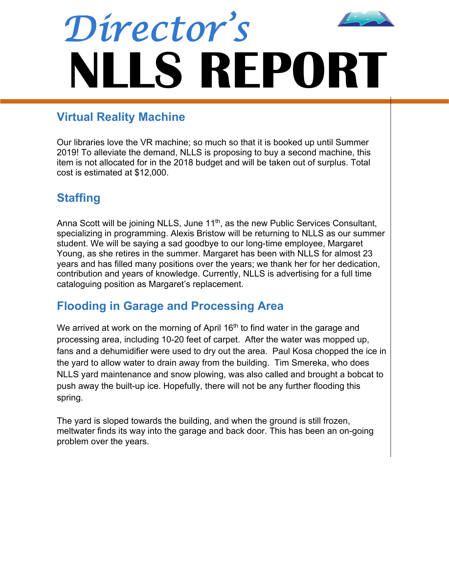

# **Virtual Reality Machine**

Our libraries love the VR machine; so much so that it is booked up until Summer 2019! To alleviate the demand, NLLS is proposing to buy a second machine, this item is not allocated for in the 2018 budget and will be taken out of surplus. Total cost is estimated at \$12,000.

# **Staffing**

Anna Scott will be joining NLLS, June 11<sup>th</sup>, as the new Public Services Consultant, specializing in programming. Alexis Bristow will be returning to NLLS as our summer student. We will be saying a sad goodbye to our long-time employee, Margaret Young, as she retires in the summer. Margaret has been with NLLS for almost 23 years and has filled many positions over the years; we thank her for her dedication, contribution and years of knowledge. Currently, NLLS is advertising for a full time cataloguing position as Margaret's replacement.

# **Flooding in Garage and Processing Area**

We arrived at work on the morning of April  $16<sup>th</sup>$  to find water in the garage and processing area, including 10-20 feet of carpet. After the water was mopped up, fans and a dehumidifier were used to dry out the area. Paul Kosa chopped the ice in the yard to allow water to drain away from the building. Tim Smereka, who does NLLS yard maintenance and snow plowing, was also called and brought a bobcat to push away the built-up ice. Hopefully, there will not be any further flooding this spring.

The yard is sloped towards the building, and when the ground is still frozen, meltwater finds its way into the garage and back door. This has been an on-going problem over the years.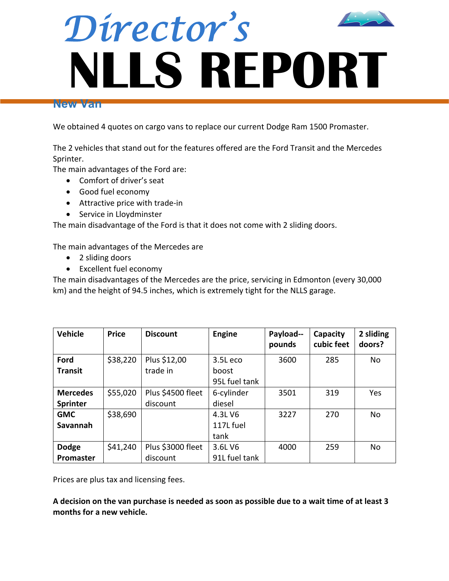

#### **New Van**

We obtained 4 quotes on cargo vans to replace our current Dodge Ram 1500 Promaster.

The 2 vehicles that stand out for the features offered are the Ford Transit and the Mercedes Sprinter.

The main advantages of the Ford are:

- Comfort of driver's seat
- Good fuel economy
- Attractive price with trade-in
- Service in Lloydminster

The main disadvantage of the Ford is that it does not come with 2 sliding doors.

The main advantages of the Mercedes are

- 2 sliding doors
- Excellent fuel economy

The main disadvantages of the Mercedes are the price, servicing in Edmonton (every 30,000 km) and the height of 94.5 inches, which is extremely tight for the NLLS garage.

| <b>Vehicle</b>  | <b>Price</b> | <b>Discount</b>   | <b>Engine</b> | Payload--<br>pounds | Capacity<br>cubic feet | 2 sliding<br>doors? |
|-----------------|--------------|-------------------|---------------|---------------------|------------------------|---------------------|
| Ford            | \$38,220     | Plus \$12,00      | 3.5Leco       | 3600                | 285                    | No                  |
| <b>Transit</b>  |              | trade in          | boost         |                     |                        |                     |
|                 |              |                   | 95L fuel tank |                     |                        |                     |
| <b>Mercedes</b> | \$55,020     | Plus \$4500 fleet | 6-cylinder    | 3501                | 319                    | Yes                 |
| <b>Sprinter</b> |              | discount          | diesel        |                     |                        |                     |
| <b>GMC</b>      | \$38,690     |                   | 4.3L V6       | 3227                | 270                    | <b>No</b>           |
| <b>Savannah</b> |              |                   | 117L fuel     |                     |                        |                     |
|                 |              |                   | tank          |                     |                        |                     |
| <b>Dodge</b>    | \$41,240     | Plus \$3000 fleet | 3.6L V6       | 4000                | 259                    | <b>No</b>           |
| Promaster       |              | discount          | 91L fuel tank |                     |                        |                     |

Prices are plus tax and licensing fees.

**A decision on the van purchase is needed as soon as possible due to a wait time of at least 3 months for a new vehicle.**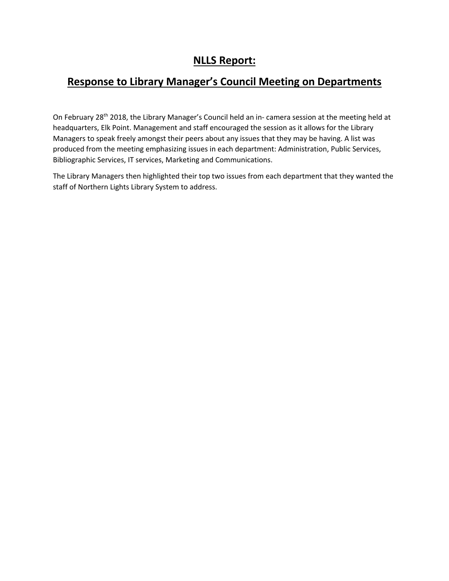## **NLLS Report:**

# **Response to Library Manager's Council Meeting on Departments**

On February 28th 2018, the Library Manager's Council held an in- camera session at the meeting held at headquarters, Elk Point. Management and staff encouraged the session as it allows for the Library Managers to speak freely amongst their peers about any issues that they may be having. A list was produced from the meeting emphasizing issues in each department: Administration, Public Services, Bibliographic Services, IT services, Marketing and Communications.

The Library Managers then highlighted their top two issues from each department that they wanted the staff of Northern Lights Library System to address.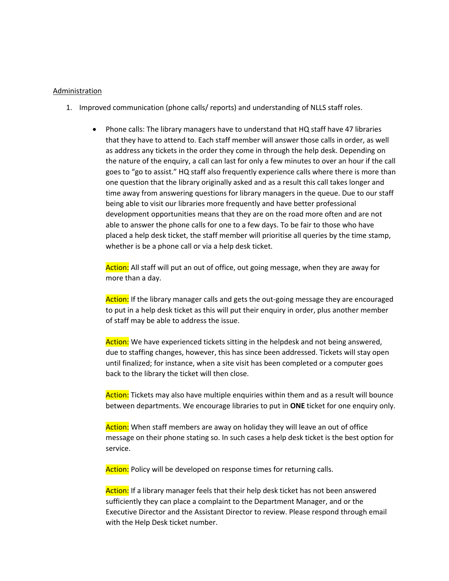#### Administration

- 1. Improved communication (phone calls/ reports) and understanding of NLLS staff roles.
	- Phone calls: The library managers have to understand that HQ staff have 47 libraries that they have to attend to. Each staff member will answer those calls in order, as well as address any tickets in the order they come in through the help desk. Depending on the nature of the enquiry, a call can last for only a few minutes to over an hour if the call goes to "go to assist." HQ staff also frequently experience calls where there is more than one question that the library originally asked and as a result this call takes longer and time away from answering questions for library managers in the queue. Due to our staff being able to visit our libraries more frequently and have better professional development opportunities means that they are on the road more often and are not able to answer the phone calls for one to a few days. To be fair to those who have placed a help desk ticket, the staff member will prioritise all queries by the time stamp, whether is be a phone call or via a help desk ticket.

Action: All staff will put an out of office, out going message, when they are away for more than a day.

Action: If the library manager calls and gets the out-going message they are encouraged to put in a help desk ticket as this will put their enquiry in order, plus another member of staff may be able to address the issue.

Action: We have experienced tickets sitting in the helpdesk and not being answered, due to staffing changes, however, this has since been addressed. Tickets will stay open until finalized; for instance, when a site visit has been completed or a computer goes back to the library the ticket will then close.

Action: Tickets may also have multiple enquiries within them and as a result will bounce between departments. We encourage libraries to put in **ONE** ticket for one enquiry only.

Action: When staff members are away on holiday they will leave an out of office message on their phone stating so. In such cases a help desk ticket is the best option for service.

Action: Policy will be developed on response times for returning calls.

Action: If a library manager feels that their help desk ticket has not been answered sufficiently they can place a complaint to the Department Manager, and or the Executive Director and the Assistant Director to review. Please respond through email with the Help Desk ticket number.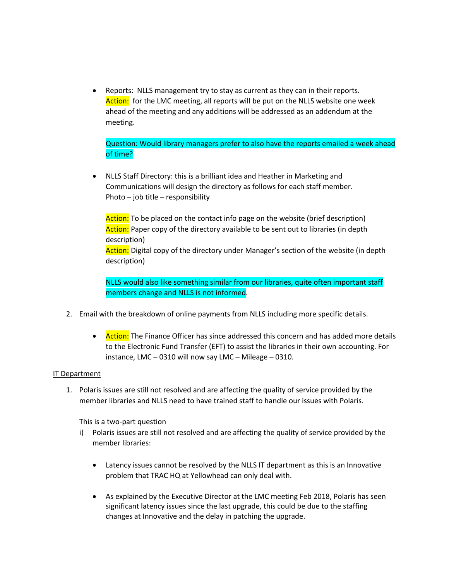• Reports: NLLS management try to stay as current as they can in their reports. Action: for the LMC meeting, all reports will be put on the NLLS website one week ahead of the meeting and any additions will be addressed as an addendum at the meeting.

Question: Would library managers prefer to also have the reports emailed a week ahead of time?

• NLLS Staff Directory: this is a brilliant idea and Heather in Marketing and Communications will design the directory as follows for each staff member. Photo – job title – responsibility

Action: To be placed on the contact info page on the website (brief description) Action: Paper copy of the directory available to be sent out to libraries (in depth description)

Action: Digital copy of the directory under Manager's section of the website (in depth description)

NLLS would also like something similar from our libraries, quite often important staff members change and NLLS is not informed.

- 2. Email with the breakdown of online payments from NLLS including more specific details.
	- Action: The Finance Officer has since addressed this concern and has added more details to the Electronic Fund Transfer (EFT) to assist the libraries in their own accounting. For instance, LMC – 0310 will now say LMC – Mileage – 0310.

#### IT Department

1. Polaris issues are still not resolved and are affecting the quality of service provided by the member libraries and NLLS need to have trained staff to handle our issues with Polaris.

This is a two-part question

- i) Polaris issues are still not resolved and are affecting the quality of service provided by the member libraries:
	- Latency issues cannot be resolved by the NLLS IT department as this is an Innovative problem that TRAC HQ at Yellowhead can only deal with.
	- As explained by the Executive Director at the LMC meeting Feb 2018, Polaris has seen significant latency issues since the last upgrade, this could be due to the staffing changes at Innovative and the delay in patching the upgrade.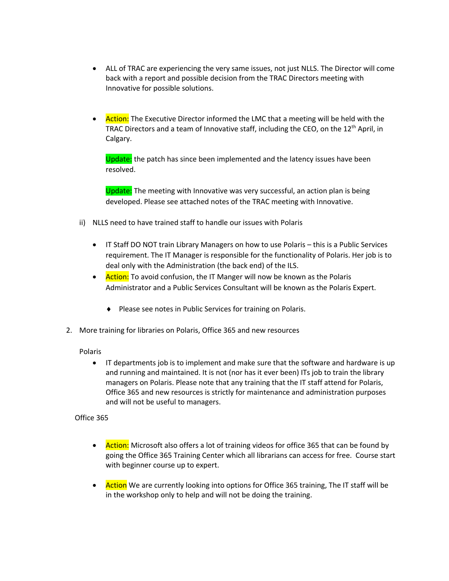- ALL of TRAC are experiencing the very same issues, not just NLLS. The Director will come back with a report and possible decision from the TRAC Directors meeting with Innovative for possible solutions.
- Action: The Executive Director informed the LMC that a meeting will be held with the TRAC Directors and a team of Innovative staff, including the CEO, on the 12th April, in Calgary.

Update: the patch has since been implemented and the latency issues have been resolved.

Update: The meeting with Innovative was very successful, an action plan is being developed. Please see attached notes of the TRAC meeting with Innovative.

- ii) NLLS need to have trained staff to handle our issues with Polaris
	- IT Staff DO NOT train Library Managers on how to use Polaris this is a Public Services requirement. The IT Manager is responsible for the functionality of Polaris. Her job is to deal only with the Administration (the back end) of the ILS.
	- Action: To avoid confusion, the IT Manger will now be known as the Polaris Administrator and a Public Services Consultant will be known as the Polaris Expert.
		- ◆ Please see notes in Public Services for training on Polaris.
- 2. More training for libraries on Polaris, Office 365 and new resources

#### Polaris

• IT departments job is to implement and make sure that the software and hardware is up and running and maintained. It is not (nor has it ever been) ITs job to train the library managers on Polaris. Please note that any training that the IT staff attend for Polaris, Office 365 and new resources is strictly for maintenance and administration purposes and will not be useful to managers.

#### Office 365

- Action: Microsoft also offers a lot of training videos for office 365 that can be found by going the Office 365 Training Center which all librarians can access for free. Course start with beginner course up to expert.
- Action We are currently looking into options for Office 365 training, The IT staff will be in the workshop only to help and will not be doing the training.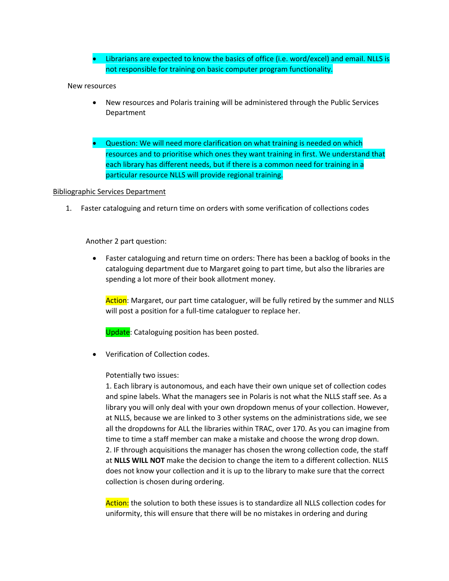• Librarians are expected to know the basics of office (i.e. word/excel) and email. NLLS is not responsible for training on basic computer program functionality.

#### New resources

- New resources and Polaris training will be administered through the Public Services Department
- Question: We will need more clarification on what training is needed on which resources and to prioritise which ones they want training in first. We understand that each library has different needs, but if there is a common need for training in a particular resource NLLS will provide regional training.

#### Bibliographic Services Department

1. Faster cataloguing and return time on orders with some verification of collections codes

#### Another 2 part question:

• Faster cataloguing and return time on orders: There has been a backlog of books in the cataloguing department due to Margaret going to part time, but also the libraries are spending a lot more of their book allotment money.

Action: Margaret, our part time cataloguer, will be fully retired by the summer and NLLS will post a position for a full-time cataloguer to replace her.

Update: Cataloguing position has been posted.

• Verification of Collection codes.

#### Potentially two issues:

1. Each library is autonomous, and each have their own unique set of collection codes and spine labels. What the managers see in Polaris is not what the NLLS staff see. As a library you will only deal with your own dropdown menus of your collection. However, at NLLS, because we are linked to 3 other systems on the administrations side, we see all the dropdowns for ALL the libraries within TRAC, over 170. As you can imagine from time to time a staff member can make a mistake and choose the wrong drop down. 2. IF through acquisitions the manager has chosen the wrong collection code, the staff at **NLLS WILL NOT** make the decision to change the item to a different collection. NLLS does not know your collection and it is up to the library to make sure that the correct collection is chosen during ordering.

Action: the solution to both these issues is to standardize all NLLS collection codes for uniformity, this will ensure that there will be no mistakes in ordering and during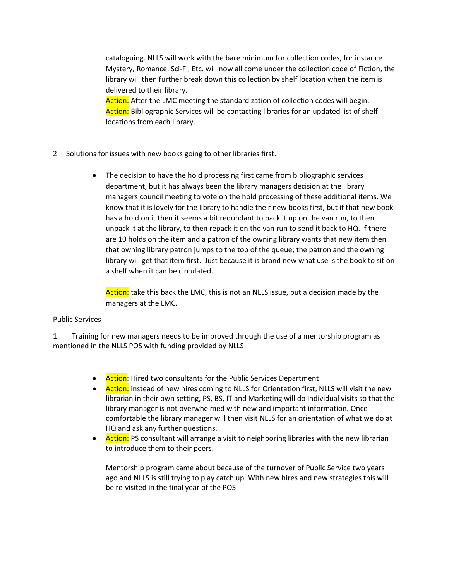cataloguing. NLLS will work with the bare minimum for collection codes, for instance Mystery, Romance, Sci-Fi, Etc. will now all come under the collection code of Fiction, the library will then further break down this collection by shelf location when the item is delivered to their library.

Action: After the LMC meeting the standardization of collection codes will begin. Action: Bibliographic Services will be contacting libraries for an updated list of shelf locations from each library.

- 2 Solutions for issues with new books going to other libraries first.
	- The decision to have the hold processing first came from bibliographic services department, but it has always been the library managers decision at the library managers council meeting to vote on the hold processing of these additional items. We know that it is lovely for the library to handle their new books first, but if that new book has a hold on it then it seems a bit redundant to pack it up on the van run, to then unpack it at the library, to then repack it on the van run to send it back to HQ. If there are 10 holds on the item and a patron of the owning library wants that new item then that owning library patron jumps to the top of the queue; the patron and the owning library will get that item first. Just because it is brand new what use is the book to sit on a shelf when it can be circulated.

Action: take this back the LMC, this is not an NLLS issue, but a decision made by the managers at the LMC.

#### Public Services

1. Training for new managers needs to be improved through the use of a mentorship program as mentioned in the NLLS POS with funding provided by NLLS

- Action: Hired two consultants for the Public Services Department
- Action: instead of new hires coming to NLLS for Orientation first, NLLS will visit the new librarian in their own setting, PS, BS, IT and Marketing will do individual visits so that the library manager is not overwhelmed with new and important information. Once comfortable the library manager will then visit NLLS for an orientation of what we do at HQ and ask any further questions.
- Action: PS consultant will arrange a visit to neighboring libraries with the new librarian to introduce them to their peers.

Mentorship program came about because of the turnover of Public Service two years ago and NLLS is still trying to play catch up. With new hires and new strategies this will be re-visited in the final year of the POS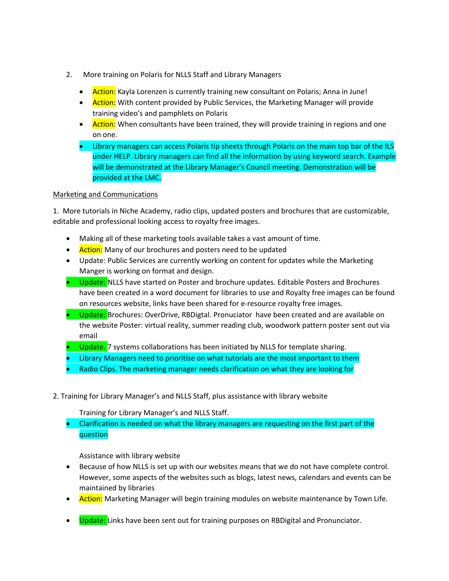- 2. More training on Polaris for NLLS Staff and Library Managers
	- Action: Kayla Lorenzen is currently training new consultant on Polaris; Anna in June!
	- Action: With content provided by Public Services, the Marketing Manager will provide training video's and pamphlets on Polaris
	- Action: When consultants have been trained, they will provide training in regions and one on one.
	- Library managers can access Polaris tip sheets through Polaris on the main top bar of the ILS under HELP. Library managers can find all the information by using keyword search. Example will be demonstrated at the Library Manager's Council meeting. Demonstration will be provided at the LMC.

#### Marketing and Communications

1. More tutorials in Niche Academy, radio clips, updated posters and brochures that are customizable, editable and professional looking access to royalty free images.

- Making all of these marketing tools available takes a vast amount of time.
- Action: Many of our brochures and posters need to be updated
- Update: Public Services are currently working on content for updates while the Marketing Manger is working on format and design.
- Update: NLLS have started on Poster and brochure updates. Editable Posters and Brochures have been created in a word document for libraries to use and Royalty free images can be found on resources website, links have been shared for e-resource royalty free images.
- Update: Brochures: OverDrive, RBDigtal. Pronuciator have been created and are available on the website Poster: virtual reality, summer reading club, woodwork pattern poster sent out via email
- Update. 7 systems collaborations has been initiated by NLLS for template sharing.
- Library Managers need to prioritise on what tutorials are the most important to them
- Radio Clips. The marketing manager needs clarification on what they are looking for
- 2. Training for Library Manager's and NLLS Staff, plus assistance with library website

Training for Library Manager's and NLLS Staff.

• Clarification is needed on what the library managers are requesting on the first part of the question

Assistance with library website

- Because of how NLLS is set up with our websites means that we do not have complete control. However, some aspects of the websites such as blogs, latest news, calendars and events can be maintained by libraries
- Action: Marketing Manager will begin training modules on website maintenance by Town Life.
- Update: Links have been sent out for training purposes on RBDigital and Pronunciator.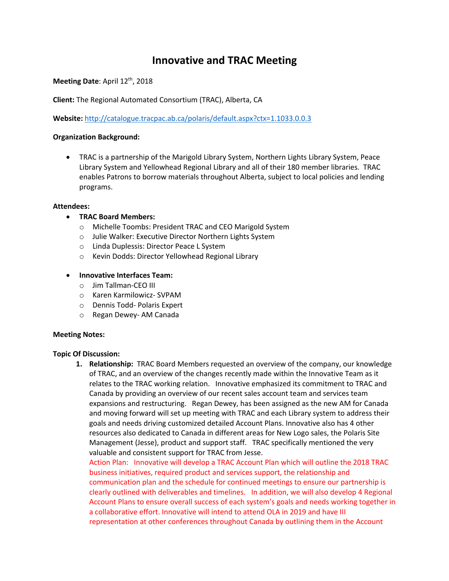## **Innovative and TRAC Meeting**

**Meeting Date: April 12<sup>th</sup>, 2018** 

**Client:** The Regional Automated Consortium (TRAC), Alberta, CA

**Website:** http://catalogue.tracpac.ab.ca/polaris/default.aspx?ctx=1.1033.0.0.3

#### **Organization Background:**

• TRAC is a partnership of the Marigold Library System, Northern Lights Library System, Peace Library System and Yellowhead Regional Library and all of their 180 member libraries. TRAC enables Patrons to borrow materials throughout Alberta, subject to local policies and lending programs.

#### **Attendees:**

- **TRAC Board Members:**
	- o Michelle Toombs: President TRAC and CEO Marigold System
	- o Julie Walker: Executive Director Northern Lights System
	- o Linda Duplessis: Director Peace L System
	- o Kevin Dodds: Director Yellowhead Regional Library
- **Innovative Interfaces Team:**
	- o Jim Tallman-CEO III
	- o Karen Karmilowicz- SVPAM
	- o Dennis Todd- Polaris Expert
	- o Regan Dewey- AM Canada

#### **Meeting Notes:**

#### **Topic Of Discussion:**

**1. Relationship:** TRAC Board Members requested an overview of the company, our knowledge of TRAC, and an overview of the changes recently made within the Innovative Team as it relates to the TRAC working relation. Innovative emphasized its commitment to TRAC and Canada by providing an overview of our recent sales account team and services team expansions and restructuring. Regan Dewey, has been assigned as the new AM for Canada and moving forward will set up meeting with TRAC and each Library system to address their goals and needs driving customized detailed Account Plans. Innovative also has 4 other resources also dedicated to Canada in different areas for New Logo sales, the Polaris Site Management (Jesse), product and support staff. TRAC specifically mentioned the very valuable and consistent support for TRAC from Jesse.

Action Plan: Innovative will develop a TRAC Account Plan which will outline the 2018 TRAC business initiatives, required product and services support, the relationship and communication plan and the schedule for continued meetings to ensure our partnership is clearly outlined with deliverables and timelines. In addition, we will also develop 4 Regional Account Plans to ensure overall success of each system's goals and needs working together in a collaborative effort. Innovative will intend to attend OLA in 2019 and have III representation at other conferences throughout Canada by outlining them in the Account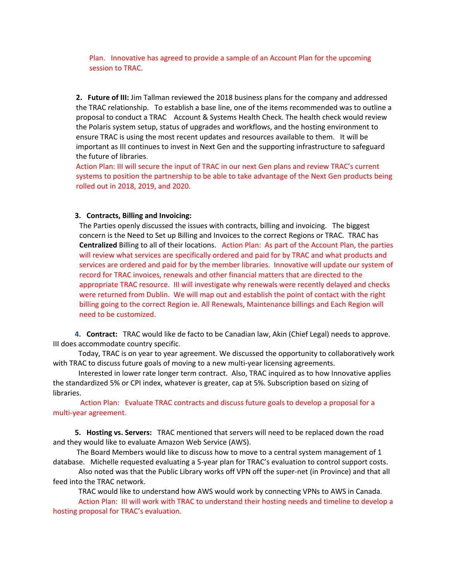Plan. Innovative has agreed to provide a sample of an Account Plan for the upcoming session to TRAC.

**2. Future of III:** Jim Tallman reviewed the 2018 business plans for the company and addressed the TRAC relationship. To establish a base line, one of the items recommended was to outline a proposal to conduct a TRAC Account & Systems Health Check. The health check would review the Polaris system setup, status of upgrades and workflows, and the hosting environment to ensure TRAC is using the most recent updates and resources available to them. It will be important as III continues to invest in Next Gen and the supporting infrastructure to safeguard the future of libraries.

Action Plan: III will secure the input of TRAC in our next Gen plans and review TRAC's current systems to position the partnership to be able to take advantage of the Next Gen products being rolled out in 2018, 2019, and 2020.

#### **3. Contracts, Billing and Invoicing:**

The Parties openly discussed the issues with contracts, billing and invoicing. The biggest concern is the Need to Set up Billing and Invoices to the correct Regions or TRAC. TRAC has **Centralized** Billing to all of their locations. Action Plan: As part of the Account Plan, the parties will review what services are specifically ordered and paid for by TRAC and what products and services are ordered and paid for by the member libraries. Innovative will update our system of record for TRAC invoices, renewals and other financial matters that are directed to the appropriate TRAC resource. III will investigate why renewals were recently delayed and checks were returned from Dublin. We will map out and establish the point of contact with the right billing going to the correct Region ie. All Renewals, Maintenance billings and Each Region will need to be customized.

 **4. Contract:** TRAC would like de facto to be Canadian law, Akin (Chief Legal) needs to approve. III does accommodate country specific.

 Today, TRAC is on year to year agreement. We discussed the opportunity to collaboratively work with TRAC to discuss future goals of moving to a new multi-year licensing agreements.

 Interested in lower rate longer term contract. Also, TRAC inquired as to how Innovative applies the standardized 5% or CPI index, whatever is greater, cap at 5%. Subscription based on sizing of libraries.

 Action Plan: Evaluate TRAC contracts and discuss future goals to develop a proposal for a multi-year agreement.

 **5. Hosting vs. Servers:** TRAC mentioned that servers will need to be replaced down the road and they would like to evaluate Amazon Web Service (AWS).

The Board Members would like to discuss how to move to a central system management of 1 database. Michelle requested evaluating a 5-year plan for TRAC's evaluation to control support costs.

 Also noted was that the Public Library works off VPN off the super-net (in Province) and that all feed into the TRAC network.

TRAC would like to understand how AWS would work by connecting VPNs to AWS in Canada.

 Action Plan: III will work with TRAC to understand their hosting needs and timeline to develop a hosting proposal for TRAC's evaluation.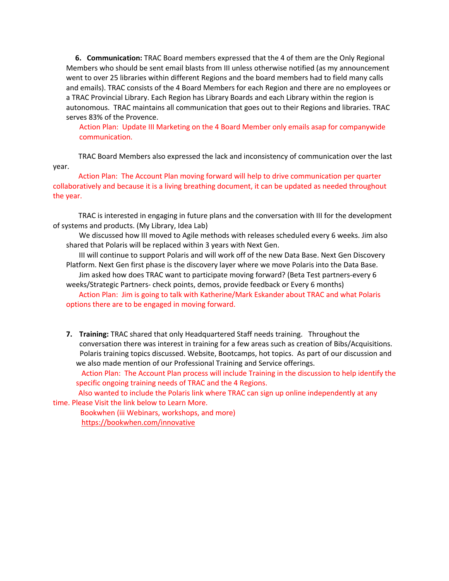**6. Communication:** TRAC Board members expressed that the 4 of them are the Only Regional Members who should be sent email blasts from III unless otherwise notified (as my announcement went to over 25 libraries within different Regions and the board members had to field many calls and emails). TRAC consists of the 4 Board Members for each Region and there are no employees or a TRAC Provincial Library. Each Region has Library Boards and each Library within the region is autonomous. TRAC maintains all communication that goes out to their Regions and libraries. TRAC serves 83% of the Provence.

Action Plan: Update III Marketing on the 4 Board Member only emails asap for companywide communication.

TRAC Board Members also expressed the lack and inconsistency of communication over the last year.

 Action Plan: The Account Plan moving forward will help to drive communication per quarter collaboratively and because it is a living breathing document, it can be updated as needed throughout the year.

TRAC is interested in engaging in future plans and the conversation with III for the development of systems and products. (My Library, Idea Lab)

 We discussed how III moved to Agile methods with releases scheduled every 6 weeks. Jim also shared that Polaris will be replaced within 3 years with Next Gen.

 III will continue to support Polaris and will work off of the new Data Base. Next Gen Discovery Platform. Next Gen first phase is the discovery layer where we move Polaris into the Data Base. Jim asked how does TRAC want to participate moving forward? (Beta Test partners-every 6

weeks/Strategic Partners- check points, demos, provide feedback or Every 6 months)

 Action Plan: Jim is going to talk with Katherine/Mark Eskander about TRAC and what Polaris options there are to be engaged in moving forward.

**7. Training:** TRAC shared that only Headquartered Staff needs training. Throughout the conversation there was interest in training for a few areas such as creation of Bibs/Acquisitions. Polaris training topics discussed. Website, Bootcamps, hot topics. As part of our discussion and we also made mention of our Professional Training and Service offerings.

 Action Plan: The Account Plan process will include Training in the discussion to help identify the specific ongoing training needs of TRAC and the 4 Regions.

 Also wanted to include the Polaris link where TRAC can sign up online independently at any time. Please Visit the link below to Learn More.

 Bookwhen (iii Webinars, workshops, and more) https://bookwhen.com/innovative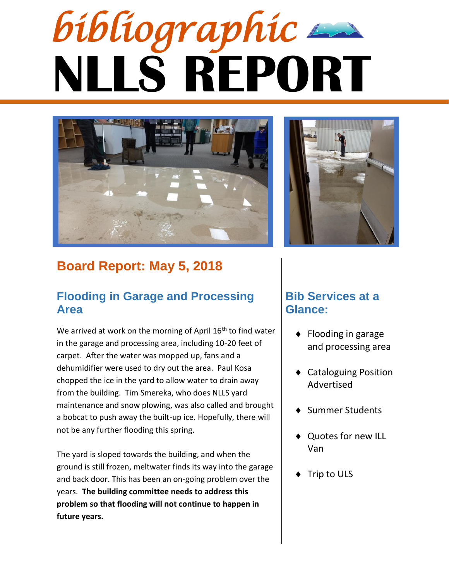# **NLLS REPORT** *bibliographic*



# **Board Report: May 5, 2018**

## **Flooding in Garage and Processing Area**

We arrived at work on the morning of April  $16<sup>th</sup>$  to find water in the garage and processing area, including 10-20 feet of carpet. After the water was mopped up, fans and a dehumidifier were used to dry out the area. Paul Kosa chopped the ice in the yard to allow water to drain away from the building. Tim Smereka, who does NLLS yard maintenance and snow plowing, was also called and brought a bobcat to push away the built-up ice. Hopefully, there will not be any further flooding this spring.

The yard is sloped towards the building, and when the ground is still frozen, meltwater finds its way into the garage and back door. This has been an on-going problem over the years. **The building committee needs to address this problem so that flooding will not continue to happen in future years.**



# **Bib Services at a Glance:**

- $\bullet$  Flooding in garage and processing area
- Cataloguing Position Advertised
- Summer Students
- ◆ Quotes for new ILL Van
- Trip to ULS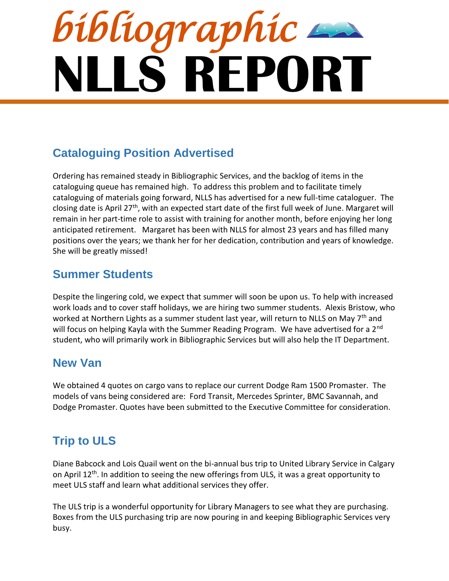# **NLLS REPORT** *bibliographic*

# **Cataloguing Position Advertised**

Ordering has remained steady in Bibliographic Services, and the backlog of items in the cataloguing queue has remained high. To address this problem and to facilitate timely cataloguing of materials going forward, NLLS has advertised for a new full-time cataloguer. The closing date is April 27<sup>th</sup>, with an expected start date of the first full week of June. Margaret will remain in her part-time role to assist with training for another month, before enjoying her long anticipated retirement. Margaret has been with NLLS for almost 23 years and has filled many positions over the years; we thank her for her dedication, contribution and years of knowledge. She will be greatly missed!

# **Summer Students**

Despite the lingering cold, we expect that summer will soon be upon us. To help with increased work loads and to cover staff holidays, we are hiring two summer students. Alexis Bristow, who worked at Northern Lights as a summer student last year, will return to NLLS on May 7<sup>th</sup> and will focus on helping Kayla with the Summer Reading Program. We have advertised for a 2<sup>nd</sup> student, who will primarily work in Bibliographic Services but will also help the IT Department.

# **New Van**

We obtained 4 quotes on cargo vans to replace our current Dodge Ram 1500 Promaster. The models of vans being considered are: Ford Transit, Mercedes Sprinter, BMC Savannah, and Dodge Promaster. Quotes have been submitted to the Executive Committee for consideration.

# **Trip to ULS**

Diane Babcock and Lois Quail went on the bi-annual bus trip to United Library Service in Calgary on April 12<sup>th</sup>. In addition to seeing the new offerings from ULS, it was a great opportunity to meet ULS staff and learn what additional services they offer.

The ULS trip is a wonderful opportunity for Library Managers to see what they are purchasing. Boxes from the ULS purchasing trip are now pouring in and keeping Bibliographic Services very busy.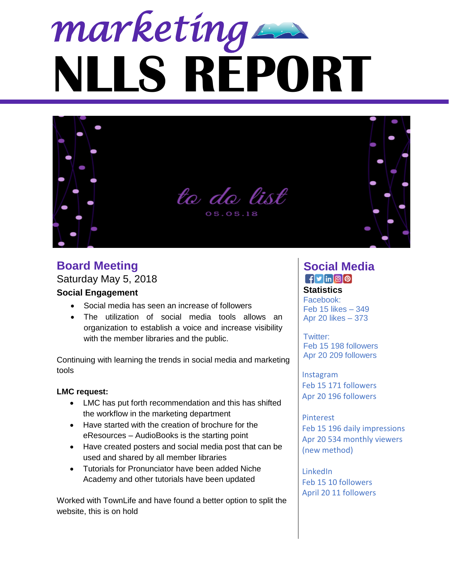



# **Board Meeting Social Media**

Saturday May 5, 2018

#### **Social Engagement**

- Social media has seen an increase of followers
- The utilization of social media tools allows an organization to establish a voice and increase visibility with the member libraries and the public.

Continuing with learning the trends in social media and marketing tools

#### **LMC request:**

- LMC has put forth recommendation and this has shifted the workflow in the marketing department
- Have started with the creation of brochure for the eResources – AudioBooks is the starting point
- Have created posters and social media post that can be used and shared by all member libraries
- Tutorials for Pronunciator have been added Niche Academy and other tutorials have been updated

Worked with TownLife and have found a better option to split the website, this is on hold

# $f$ y  $\ln$  0  $\Omega$

#### **Statistics**

Facebook: Feb 15 likes – 349 Apr 20 likes – 373

Twitter: Feb 15 198 followers Apr 20 209 followers

Instagram Feb 15 171 followers Apr 20 196 followers

Pinterest Feb 15 196 daily impressions Apr 20 534 monthly viewers (new method)

LinkedIn Feb 15 10 followers April 20 11 followers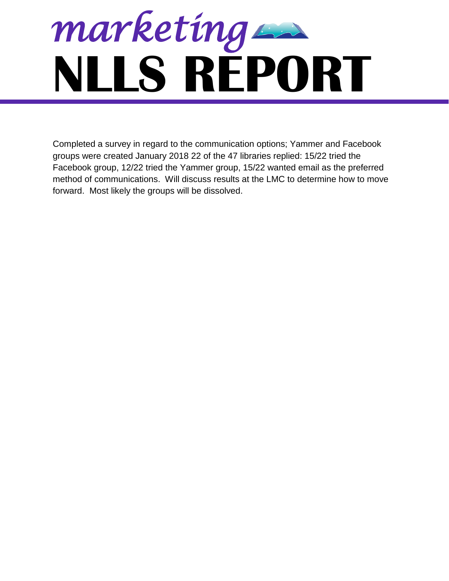

Completed a survey in regard to the communication options; Yammer and Facebook groups were created January 2018 22 of the 47 libraries replied: 15/22 tried the Facebook group, 12/22 tried the Yammer group, 15/22 wanted email as the preferred method of communications. Will discuss results at the LMC to determine how to move forward. Most likely the groups will be dissolved.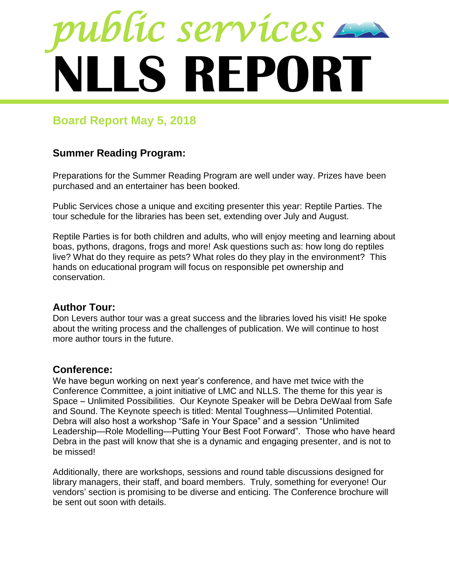

# **Board Report May 5, 2018**

## **Summer Reading Program:**

Preparations for the Summer Reading Program are well under way. Prizes have been purchased and an entertainer has been booked.

Public Services chose a unique and exciting presenter this year: Reptile Parties. The tour schedule for the libraries has been set, extending over July and August.

Reptile Parties is for both children and adults, who will enjoy meeting and learning about boas, pythons, dragons, frogs and more! Ask questions such as: how long do reptiles live? What do they require as pets? What roles do they play in the environment? This hands on educational program will focus on responsible pet ownership and conservation.

### **Author Tour:**

Don Levers author tour was a great success and the libraries loved his visit! He spoke about the writing process and the challenges of publication. We will continue to host more author tours in the future.

#### **Conference:**

We have begun working on next year's conference, and have met twice with the Conference Committee, a joint initiative of LMC and NLLS. The theme for this year is Space – Unlimited Possibilities. Our Keynote Speaker will be Debra DeWaal from Safe and Sound. The Keynote speech is titled: Mental Toughness—Unlimited Potential. Debra will also host a workshop "Safe in Your Space" and a session "Unlimited Leadership—Role Modelling—Putting Your Best Foot Forward". Those who have heard Debra in the past will know that she is a dynamic and engaging presenter, and is not to be missed!

Additionally, there are workshops, sessions and round table discussions designed for library managers, their staff, and board members. Truly, something for everyone! Our vendors' section is promising to be diverse and enticing. The Conference brochure will be sent out soon with details.